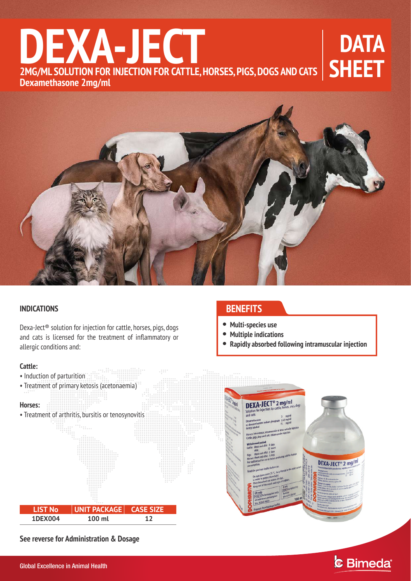# **DATA SHEET**<br> **2MG/ML SOLUTION FOR INJECTION FOR CATTLE, HORSES, PIGS, DOGS AND CATS**<br> **2Mg/mL SOLUTION FOR INJECTION FOR CATTLE, HORSES, PIGS, DOGS AND CATS Dexamethasone 2mg/ml**



### **INDICATIONS**

Dexa-Ject® solution for injection for cattle, horses, pigs, dogs and cats is licensed for the treatment of inflammatory or allergic conditions and:

### **Cattle:**

• Induction of parturition

# **BENEFITS**

- **Multi-species use**
- **Multiple indications**
- **Rapidly absorbed following intramuscular injection**



**See reverse for Administration & Dosage** 



& Bimeda®